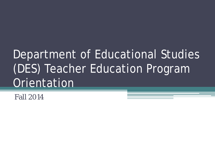# Department of Educational Studies (DES) Teacher Education Program **Orientation**

Fall 2014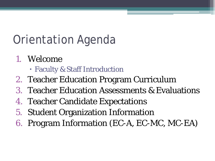### Orientation Agenda

- 1. Welcome
	- Faculty & Staff Introduction
- 2. Teacher Education Program Curriculum
- 3. Teacher Education Assessments & Evaluations
- 4. Teacher Candidate Expectations
- 5. Student Organization Information
- 6. Program Information (EC-A, EC-MC, MC-EA)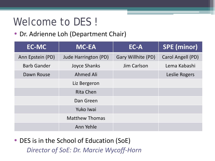#### Welcome to DES!

• Dr. Adrienne Loh (Department Chair)

| <b>EC-MC</b>       | <b>MC-EA</b>          | EC-A               | <b>SPE</b> (minor) |
|--------------------|-----------------------|--------------------|--------------------|
| Ann Epstein (PD)   | Jude Harrington (PD)  | Gary Willhite (PD) | Carol Angell (PD)  |
| <b>Barb Gander</b> | <b>Joyce Shanks</b>   | <b>Jim Carlson</b> | Lema Kabashi       |
| Dawn Rouse         | Ahmed Ali             |                    | Leslie Rogers      |
|                    | Liz Bergeron          |                    |                    |
|                    | <b>Rita Chen</b>      |                    |                    |
|                    | Dan Green             |                    |                    |
|                    | Yuko Iwai             |                    |                    |
|                    | <b>Matthew Thomas</b> |                    |                    |
|                    | Ann Yehle             |                    |                    |

• DES is in the School of Education (SoE) *Director of SoE: Dr. Marcie Wycoff-Horn*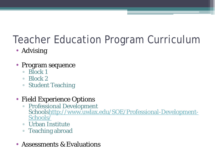### Teacher Education Program Curriculum

- Advising
- Program sequence
	- Block 1
	- Block 2
	- Student Teaching
- Field Experience Options
	- Professional Development [Schoolshttp://www.uwlax.edu/SOE/Professional-Development-](http://www.uwlax.edu/SOE/Professional-Development-Schools/) Schools/
	- Urban Institute
	- Teaching abroad
- Assessments & Evaluations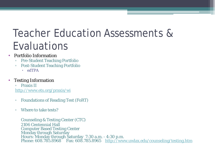#### Teacher Education Assessments & Evaluations

- Portfolio Information
	- Pre-Student Teaching Portfolio
	- Post-Student Teaching Portfolio
		- edTPA
- Testing Information

▫ Praxis II <http://www.ets.org/praxis/wi>

- Foundations of Reading Test (FoRT)
- Where to take tests?

Counseling & Testing Center (CTC) 2106 Centennial Hall Computer Based Testing Center Monday through Saturday<br>Hours: Monday through Saturday 7:30 a.m. - 4:30 p.m. Phone: 608.785.8968 Fax: 608.785.8965 <http://www.uwlax.edu/counseling/testing.htm>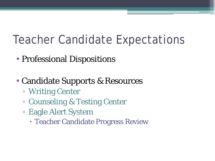### Teacher Candidate Expectations

- Professional Dispositions
- Candidate Supports & Resources
	- Writing Center
	- Counseling & Testing Center
	- Eagle Alert System
		- Teacher Candidate Progress Review